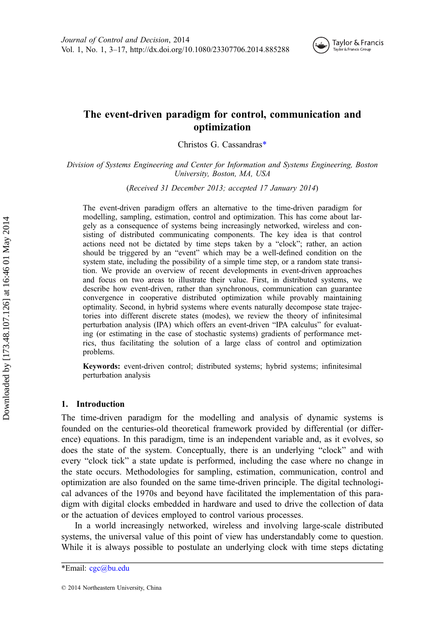

# The event-driven paradigm for control, communication and optimization

Christos G. Cassandras\*

Division of Systems Engineering and Center for Information and Systems Engineering, Boston University, Boston, MA, USA

(Received 31 December 2013; accepted 17 January 2014)

The event-driven paradigm offers an alternative to the time-driven paradigm for modelling, sampling, estimation, control and optimization. This has come about largely as a consequence of systems being increasingly networked, wireless and consisting of distributed communicating components. The key idea is that control actions need not be dictated by time steps taken by a "clock"; rather, an action should be triggered by an "event" which may be a well-defined condition on the system state, including the possibility of a simple time step, or a random state transition. We provide an overview of recent developments in event-driven approaches and focus on two areas to illustrate their value. First, in distributed systems, we describe how event-driven, rather than synchronous, communication can guarantee convergence in cooperative distributed optimization while provably maintaining optimality. Second, in hybrid systems where events naturally decompose state trajectories into different discrete states (modes), we review the theory of infinitesimal perturbation analysis (IPA) which offers an event-driven "IPA calculus" for evaluating (or estimating in the case of stochastic systems) gradients of performance metrics, thus facilitating the solution of a large class of control and optimization problems.

Keywords: event-driven control; distributed systems; hybrid systems; infinitesimal perturbation analysis

# **Introduction**

The time-driven paradigm for the modelling and analysis of dynamic systems is founded on the centuries-old theoretical framework provided by differential (or difference) equations. In this paradigm, time is an independent variable and, as it evolves, so does the state of the system. Conceptually, there is an underlying "clock" and with every "clock tick" a state update is performed, including the case where no change in the state occurs. Methodologies for sampling, estimation, communication, control and optimization are also founded on the same time-driven principle. The digital technological advances of the 1970s and beyond have facilitated the implementation of this paradigm with digital clocks embedded in hardware and used to drive the collection of data or the actuation of devices employed to control various processes.

In a world increasingly networked, wireless and involving large-scale distributed systems, the universal value of this point of view has understandably come to question. While it is always possible to postulate an underlying clock with time steps dictating

<sup>\*</sup>Email: [cgc@bu.edu](mailto:cgc@bu.edu)

<sup>© 2014</sup> Northeastern University, China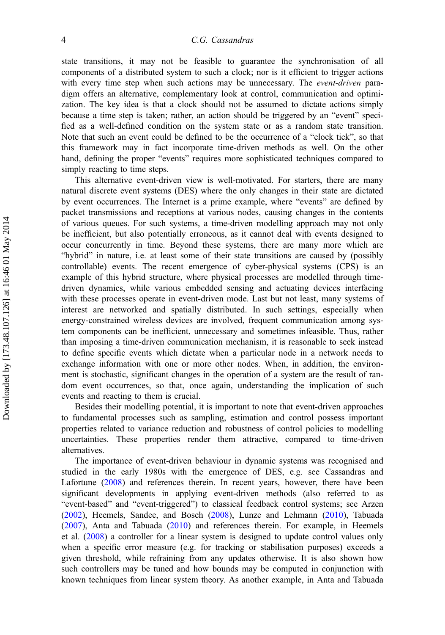state transitions, it may not be feasible to guarantee the synchronisation of all components of a distributed system to such a clock; nor is it efficient to trigger actions with every time step when such actions may be unnecessary. The *event-driven* paradigm offers an alternative, complementary look at control, communication and optimization. The key idea is that a clock should not be assumed to dictate actions simply because a time step is taken; rather, an action should be triggered by an "event" specified as a well-defined condition on the system state or as a random state transition. Note that such an event could be defined to be the occurrence of a "clock tick", so that this framework may in fact incorporate time-driven methods as well. On the other hand, defining the proper "events" requires more sophisticated techniques compared to simply reacting to time steps.

This alternative event-driven view is well-motivated. For starters, there are many natural discrete event systems (DES) where the only changes in their state are dictated by event occurrences. The Internet is a prime example, where "events" are defined by packet transmissions and receptions at various nodes, causing changes in the contents of various queues. For such systems, a time-driven modelling approach may not only be inefficient, but also potentially erroneous, as it cannot deal with events designed to occur concurrently in time. Beyond these systems, there are many more which are "hybrid" in nature, i.e. at least some of their state transitions are caused by (possibly controllable) events. The recent emergence of cyber-physical systems (CPS) is an example of this hybrid structure, where physical processes are modelled through timedriven dynamics, while various embedded sensing and actuating devices interfacing with these processes operate in event-driven mode. Last but not least, many systems of interest are networked and spatially distributed. In such settings, especially when energy-constrained wireless devices are involved, frequent communication among system components can be inefficient, unnecessary and sometimes infeasible. Thus, rather than imposing a time-driven communication mechanism, it is reasonable to seek instead to define specific events which dictate when a particular node in a network needs to exchange information with one or more other nodes. When, in addition, the environment is stochastic, significant changes in the operation of a system are the result of random event occurrences, so that, once again, understanding the implication of such events and reacting to them is crucial.

Besides their modelling potential, it is important to note that event-driven approaches to fundamental processes such as sampling, estimation and control possess important properties related to variance reduction and robustness of control policies to modelling uncertainties. These properties render them attractive, compared to time-driven alternatives.

The importance of event-driven behaviour in dynamic systems was recognised and studied in the early 1980s with the emergence of DES, e.g. see Cassandras and Lafortune [\(2008](#page-13-0)) and references therein. In recent years, however, there have been significant developments in applying event-driven methods (also referred to as "event-based" and "event-triggered") to classical feedback control systems; see Arzen [\(2002](#page-13-0)), Heemels, Sandee, and Bosch [\(2008\)](#page-13-0), Lunze and Lehmann ([2010\)](#page-13-0), Tabuada [\(2007](#page-14-0)), Anta and Tabuada [\(2010](#page-13-0)) and references therein. For example, in Heemels et al. ([2008\)](#page-13-0) a controller for a linear system is designed to update control values only when a specific error measure (e.g. for tracking or stabilisation purposes) exceeds a given threshold, while refraining from any updates otherwise. It is also shown how such controllers may be tuned and how bounds may be computed in conjunction with known techniques from linear system theory. As another example, in Anta and Tabuada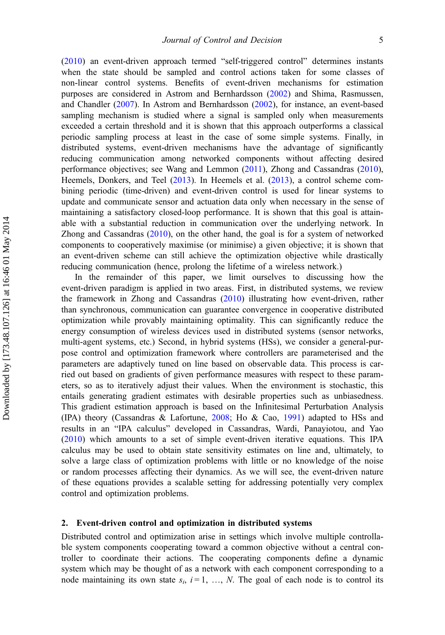[\(2010](#page-13-0)) an event-driven approach termed "self-triggered control" determines instants when the state should be sampled and control actions taken for some classes of non-linear control systems. Benefits of event-driven mechanisms for estimation purposes are considered in Astrom and Bernhardsson [\(2002](#page-13-0)) and Shima, Rasmussen, and Chandler [\(2007\)](#page-14-0). In Astrom and Bernhardsson [\(2002](#page-13-0)), for instance, an event-based sampling mechanism is studied where a signal is sampled only when measurements exceeded a certain threshold and it is shown that this approach outperforms a classical periodic sampling process at least in the case of some simple systems. Finally, in distributed systems, event-driven mechanisms have the advantage of significantly reducing communication among networked components without affecting desired performance objectives; see Wang and Lemmon [\(2011](#page-14-0)), Zhong and Cassandras ([2010](#page-14-0)), Heemels, Donkers, and Teel ([2013\)](#page-13-0). In Heemels et al. ([2013\)](#page-13-0), a control scheme combining periodic (time-driven) and event-driven control is used for linear systems to update and communicate sensor and actuation data only when necessary in the sense of maintaining a satisfactory closed-loop performance. It is shown that this goal is attainable with a substantial reduction in communication over the underlying network. In Zhong and Cassandras [\(2010](#page-14-0)), on the other hand, the goal is for a system of networked components to cooperatively maximise (or minimise) a given objective; it is shown that an event-driven scheme can still achieve the optimization objective while drastically

reducing communication (hence, prolong the lifetime of a wireless network.) In the remainder of this paper, we limit ourselves to discussing how the event-driven paradigm is applied in two areas. First, in distributed systems, we review the framework in Zhong and Cassandras ([2010\)](#page-14-0) illustrating how event-driven, rather than synchronous, communication can guarantee convergence in cooperative distributed optimization while provably maintaining optimality. This can significantly reduce the energy consumption of wireless devices used in distributed systems (sensor networks, multi-agent systems, etc.) Second, in hybrid systems (HSs), we consider a general-purpose control and optimization framework where controllers are parameterised and the parameters are adaptively tuned on line based on observable data. This process is carried out based on gradients of given performance measures with respect to these parameters, so as to iteratively adjust their values. When the environment is stochastic, this entails generating gradient estimates with desirable properties such as unbiasedness. This gradient estimation approach is based on the Infinitesimal Perturbation Analysis (IPA) theory (Cassandras & Lafortune, [2008;](#page-13-0) Ho & Cao, [1991](#page-13-0)) adapted to HSs and results in an "IPA calculus" developed in Cassandras, Wardi, Panayiotou, and Yao [\(2010](#page-13-0)) which amounts to a set of simple event-driven iterative equations. This IPA calculus may be used to obtain state sensitivity estimates on line and, ultimately, to solve a large class of optimization problems with little or no knowledge of the noise or random processes affecting their dynamics. As we will see, the event-driven nature of these equations provides a scalable setting for addressing potentially very complex control and optimization problems.

## 2. Event-driven control and optimization in distributed systems

Distributed control and optimization arise in settings which involve multiple controllable system components cooperating toward a common objective without a central controller to coordinate their actions. The cooperating components define a dynamic system which may be thought of as a network with each component corresponding to a node maintaining its own state  $s_i$ ,  $i = 1, ..., N$ . The goal of each node is to control its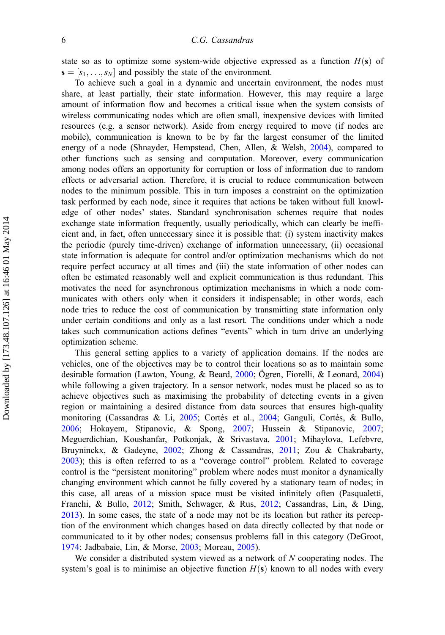state so as to optimize some system-wide objective expressed as a function  $H(s)$  of  $\mathbf{s} = [s_1, \ldots, s_N]$  and possibly the state of the environment.<br>To achieve such a goal in a dynamic and uncertain

To achieve such a goal in a dynamic and uncertain environment, the nodes must share, at least partially, their state information. However, this may require a large amount of information flow and becomes a critical issue when the system consists of wireless communicating nodes which are often small, inexpensive devices with limited resources (e.g. a sensor network). Aside from energy required to move (if nodes are mobile), communication is known to be by far the largest consumer of the limited energy of a node (Shnayder, Hempstead, Chen, Allen, & Welsh, [2004\)](#page-14-0), compared to other functions such as sensing and computation. Moreover, every communication among nodes offers an opportunity for corruption or loss of information due to random effects or adversarial action. Therefore, it is crucial to reduce communication between nodes to the minimum possible. This in turn imposes a constraint on the optimization task performed by each node, since it requires that actions be taken without full knowledge of other nodes' states. Standard synchronisation schemes require that nodes exchange state information frequently, usually periodically, which can clearly be inefficient and, in fact, often unnecessary since it is possible that: (i) system inactivity makes the periodic (purely time-driven) exchange of information unnecessary, (ii) occasional state information is adequate for control and/or optimization mechanisms which do not require perfect accuracy at all times and (iii) the state information of other nodes can often be estimated reasonably well and explicit communication is thus redundant. This motivates the need for asynchronous optimization mechanisms in which a node communicates with others only when it considers it indispensable; in other words, each node tries to reduce the cost of communication by transmitting state information only under certain conditions and only as a last resort. The conditions under which a node takes such communication actions defines "events" which in turn drive an underlying optimization scheme.

This general setting applies to a variety of application domains. If the nodes are vehicles, one of the objectives may be to control their locations so as to maintain some desirable formation (Lawton, Young, & Beard, [2000;](#page-13-0) Ögren, Fiorelli, & Leonard, [2004\)](#page-14-0) while following a given trajectory. In a sensor network, nodes must be placed so as to achieve objectives such as maximising the probability of detecting events in a given region or maintaining a desired distance from data sources that ensures high-quality monitoring (Cassandras & Li, [2005](#page-13-0); Cortés et al., [2004](#page-13-0); Ganguli, Cortés, & Bullo, [2006;](#page-13-0) Hokayem, Stipanovic, & Spong, [2007](#page-13-0); Hussein & Stipanovic, [2007](#page-13-0); Meguerdichian, Koushanfar, Potkonjak, & Srivastava, [2001;](#page-13-0) Mihaylova, Lefebvre, Bruyninckx, & Gadeyne, [2002](#page-14-0); Zhong & Cassandras, [2011](#page-14-0); Zou & Chakrabarty, [2003\)](#page-14-0); this is often referred to as a "coverage control" problem. Related to coverage control is the "persistent monitoring" problem where nodes must monitor a dynamically changing environment which cannot be fully covered by a stationary team of nodes; in this case, all areas of a mission space must be visited infinitely often (Pasqualetti, Franchi, & Bullo, [2012](#page-14-0); Smith, Schwager, & Rus, [2012;](#page-14-0) Cassandras, Lin, & Ding, [2013\)](#page-13-0). In some cases, the state of a node may not be its location but rather its perception of the environment which changes based on data directly collected by that node or communicated to it by other nodes; consensus problems fall in this category (DeGroot, [1974;](#page-13-0) Jadbabaie, Lin, & Morse, [2003](#page-13-0); Moreau, [2005](#page-14-0)).

We consider a distributed system viewed as a network of  $N$  cooperating nodes. The system's goal is to minimise an objective function  $H(s)$  known to all nodes with every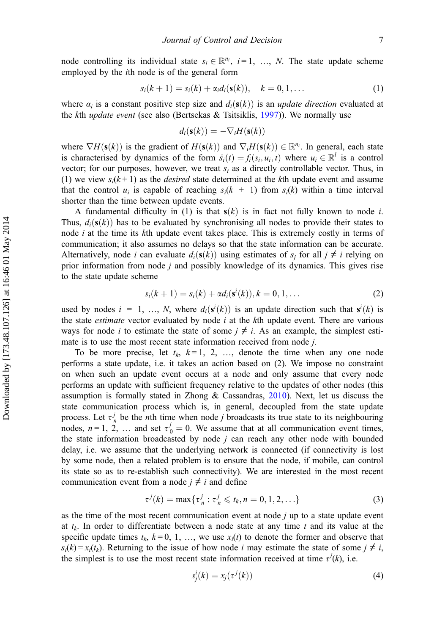node controlling its individual state  $s_i \in \mathbb{R}^{n_i}$ ,  $i = 1, ..., N$ . The state update scheme<br>employed by the *i*th node is of the general form employed by the ith node is of the general form

$$
s_i(k + 1) = s_i(k) + \alpha_i d_i(\mathbf{s}(k)), \quad k = 0, 1, ... \tag{1}
$$

where  $\alpha_i$  is a constant positive step size and  $d_i(s(k))$  is an *update direction* evaluated at the kth update event (see also (Bertsekas & Tsitsiklis, [1997\)](#page-13-0)). We normally use

$$
d_i(\mathbf{s}(k)) = -\nabla_i H(\mathbf{s}(k))
$$

where  $\nabla H(\mathbf{s}(k))$  is the gradient of  $H(\mathbf{s}(k))$  and  $\nabla_i H(\mathbf{s}(k)) \in \mathbb{R}^{n_i}$ . In general, each state<br>is characterised by dynamics of the form  $\dot{s}(t) - f(s, u, t)$  where  $u \in \mathbb{R}^l$  is a control is characterised by dynamics of the form  $\dot{s_i}(t) = f_i(s_i, u_i, t)$  where  $u_i \in \mathbb{R}^l$  is a control vector; for our purposes, however, we treat  $s_i$  as a directly controllable vector. Thus, in (1) we view  $s<sub>i</sub>(k+1)$  as the *desired* state determined at the kth update event and assume that the control  $u_i$  is capable of reaching  $s_i(k + 1)$  from  $s_i(k)$  within a time interval shorter than the time between update events.

A fundamental difficulty in (1) is that  $s(k)$  is in fact not fully known to node i. Thus,  $d_i(s(k))$  has to be evaluated by synchronising all nodes to provide their states to node *i* at the time its kth update event takes place. This is extremely costly in terms of communication; it also assumes no delays so that the state information can be accurate. Alternatively, node *i* can evaluate  $d_i(s(k))$  using estimates of  $s_j$  for all  $j \neq i$  relying on prior information from node  $j$  and possibly knowledge of its dynamics. This gives rise to the state update scheme

$$
s_i(k + 1) = s_i(k) + \alpha d_i(\mathbf{s}^i(k)), k = 0, 1, ...
$$
 (2)

used by nodes  $i = 1, ..., N$ , where  $d_i(s^i(k))$  is an update direction such that  $s^i(k)$  is<br>the state *estimate* vector evaluated by node *i* at the *k*th update event. There are various the state *estimate* vector evaluated by node  $i$  at the  $k$ th update event. There are various ways for node *i* to estimate the state of some  $j \neq i$ . As an example, the simplest estimate is to use the most recent state information received from node j.

To be more precise, let  $t_k$ ,  $k=1, 2, \ldots$ , denote the time when any one node performs a state update, i.e. it takes an action based on (2). We impose no constraint on when such an update event occurs at a node and only assume that every node performs an update with sufficient frequency relative to the updates of other nodes (this assumption is formally stated in Zhong & Cassandras, [2010\)](#page-14-0). Next, let us discuss the state communication process which is, in general, decoupled from the state update process. Let  $\tau_n^j$  be the *n*th time when node *j* broadcasts its true state to its neighbouring nodes,  $n = 1$ , 2, ... and set  $\tau_0^j = 0$ . We assume that at all communication event times, the state information broadcasted by node  $j$  can reach any other node with bounded delay, i.e. we assume that the underlying network is connected (if connectivity is lost by some node, then a related problem is to ensure that the node, if mobile, can control its state so as to re-establish such connectivity). We are interested in the most recent communication event from a node  $j \neq i$  and define

$$
\tau^{j}(k) = \max\{\tau_n^{j} : \tau_n^{j} \leq t_k, n = 0, 1, 2, \ldots\}
$$
 (3)

as the time of the most recent communication event at node  $j$  up to a state update event at  $t_k$ . In order to differentiate between a node state at any time t and its value at the specific update times  $t_k$ ,  $k = 0, 1, ...,$  we use  $x_i(t)$  to denote the former and observe that  $s_i(k) = x_i(t_k)$ . Returning to the issue of how node i may estimate the state of some  $j \neq i$ , the simplest is to use the most recent state information received at time  $\tau^{j}(k)$ , i.e.

$$
s_j^i(k) = x_j(\tau^j(k))
$$
\n(4)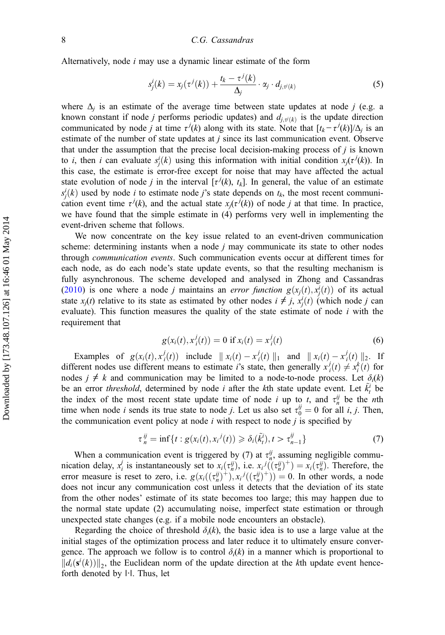Alternatively, node i may use a dynamic linear estimate of the form

$$
s_j^i(k) = x_j(\tau^j(k)) + \frac{t_k - \tau^j(k)}{\Delta_j} \cdot \alpha_j \cdot d_{j,\tau^j(k)}
$$
\n(5)

where  $\Delta_i$  is an estimate of the average time between state updates at node j (e.g. a known constant if node *j* performs periodic updates) and  $d_{j,\tau^{j}(k)}$  is the update direction<br>communicated by node *i* at time  $\tau^{j}(k)$  clong with its atta. Note that  $[t - \tau^{j}(k)]/2$  is an communicated by node j at time  $\tau^{j}(k)$  along with its state. Note that  $[t_k-\tau^{j}(k)]/\Delta_j$  is an estimate of the number of state updates at *j* since its last communication event. Observe that under the assumption that the precise local decision-making process of  $j$  is known to *i*, then *i* can evaluate  $s_j^i(k)$  using this information with initial condition  $x_j(\tau^j(k))$ . In this case, the estimate is error-free except for noise that may have affected the actual this case, the estimate is error-free except for noise that may have affected the actual state evolution of node j in the interval  $[\tau^{j}(k), t_{k}]$ . In general, the value of an estimate  $s_j^i(k)$  used by node *i* to estimate node *j*'s state depends on  $t_k$ , the most recent communi-<br>cation event time  $\tau^j(k)$  and the actual state  $\chi(\tau^j(k))$  of node *i* at that time. In practice cation event time  $\tau^{j}(k)$ , and the actual state  $x_{j}(\tau^{j}(k))$  of node j at that time. In practice, we have found that the simple estimate in (4) performs very well in implementing the event-driven scheme that follows.

We now concentrate on the key issue related to an event-driven communication scheme: determining instants when a node  $j$  may communicate its state to other nodes through communication events. Such communication events occur at different times for each node, as do each node's state update events, so that the resulting mechanism is fully asynchronous. The scheme developed and analysed in Zhong and Cassandras [\(2010](#page-14-0)) is one where a node j maintains an *error function*  $g(x_j(t), x_j'(t))$  of its actual<br>state  $x(t)$  relative to its state as estimated by other nodes  $i \neq i$ ,  $x^i(t)$  (which node i can state  $x_j(t)$  relative to its state as estimated by other nodes  $i \neq j$ ,  $x_j'(t)$  (which node j can evaluate). This function measures the quality of the state estimate of node i with the evaluate). This function measures the quality of the state estimate of node  $i$  with the requirement that

$$
g(x_i(t), x_i'(t)) = 0 \text{ if } x_i(t) = x_i'(t)
$$
 (6)

Examples of  $g(x_i(t), x_i^j(t))$  include  $||x_i(t) - x_i^j(t)||_1$  and  $||x_i(t) - x_i^j(t)||_2$ . If different nodes use different means to estimate i's state, then generally  $x_i^j(t) \neq x_i^k(t)$  for nodes  $i \neq k$  and communication may be limited to a node-to-node process. Let  $\delta(k)$ nodes  $j \neq k$  and communication may be limited to a node-to-node process. Let  $\delta_i(k)$ be an error threshold, determined by node i after the kth state update event. Let  $\tilde{k}_t^i$  be the index of the most recent state update time of node i up to t, and  $\tau_n^{ij}$  be the nth time when node *i* sends its true state to node *j*. Let us also set  $\tau_0^{ij} = 0$  for all *i*, *j*. Then, the communication event policy at node *i* with respect to node *i* is specified by the communication event policy at node  $i$  with respect to node  $j$  is specified by

$$
\tau_n^{\,ij} = \inf \{ t : g(x_i(t), x_i^{\,j}(t)) \geq \delta_i(\tilde{k}_t^i), t > \tau_{n-1}^{\,ij} \}
$$
\n(7)

When a communication event is triggered by (7) at  $\tau_n^{ij}$ , assuming negligible communication delay,  $x_i^j$  is instantaneously set to  $x_i(\tau_{ij}^{ij})$ , i.e.  $x_i^{j'}((\tau_{ij}^{ij})^+) = x_i(\tau_{ij}^{ij})$ . Therefore, the meation delay,  $x_i$  is instantaneously set to  $x_i(v_n^i)$ , i.e.  $x_i^{\alpha}(v_n^i) - x_i(v_n^i)$ . Therefore, the<br>error measure is reset to zero, i.e.  $g(x_i((\tau_n^{ij})^+), x_i^j((\tau_n^{ij})^+)) = 0$ . In other words, a node<br>does not incur any communic chor measure is reset to zero, i.e.  $g(x_i)(x_i^2 + y_i^2)(x_i^2 + y_i^2) = 0$ . In other words, a hode does not incur any communication cost unless it detects that the deviation of its state from the other nodes' estimate of its state becomes too large; this may happen due to the normal state update (2) accumulating noise, imperfect state estimation or through unexpected state changes (e.g. if a mobile node encounters an obstacle).

Regarding the choice of threshold  $\delta_i(k)$ , the basic idea is to use a large value at the initial stages of the optimization process and later reduce it to ultimately ensure convergence. The approach we follow is to control  $\delta_i(k)$  in a manner which is proportional to  $||d_i(\mathbf{s}^i(k))||_2$ , the Euclidean norm of the update direction at the kth update event hence-<br>forth denoted by  $||\cdot||$ . Thus, let forth denoted by ‖⋅‖. Thus, let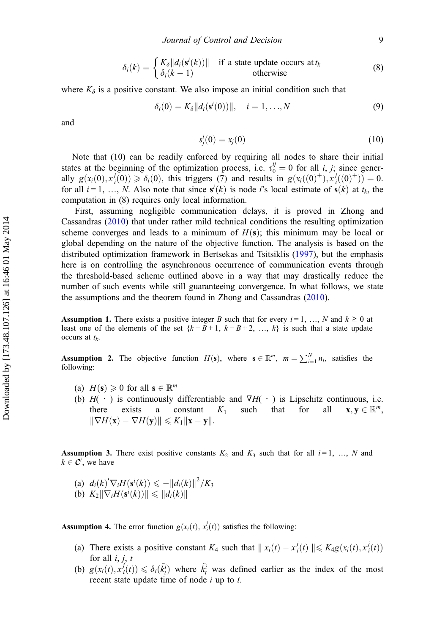$$
\delta_i(k) = \begin{cases} K_{\delta} ||d_i(\mathbf{s}^i(k))|| & \text{if a state update occurs at } t_k \\ \delta_i(k-1) & \text{otherwise} \end{cases}
$$
(8)

where  $K_{\delta}$  is a positive constant. We also impose an initial condition such that

$$
\delta_i(0) = K_{\delta} || d_i(\mathbf{s}^i(0)) ||, \quad i = 1, ..., N
$$
 (9)

and

$$
s_j^i(0) = x_j(0)
$$
 (10)

Note that (10) can be readily enforced by requiring all nodes to share their initial states at the beginning of the optimization process, i.e.  $\tau_0^{ij} = 0$  for all i, j; since gener-<br>ally  $g(x_0(0), y'(0)) > \delta_0(0)$ , this triggers (7) and results in  $g(x_0(0), y'(0)) = 0$ ally  $g(x_i(0), x_i(0)) \ge \delta_i(0)$ , this triggers (7) and results in  $g(x_i((0)^+), x_i((0)^+)) = 0$ .<br>for all  $i = 1, N$  also note that since  $g^i(k)$  is node *i*'s local estimate of  $g(k)$  at t, the for all  $i = 1, ..., N$ . Also note that since  $\mathbf{s}^{i}(k)$  is node *i*'s local estimate of  $\mathbf{s}(k)$  at  $t_k$ , the computation in (8) requires only local information. computation in (8) requires only local information.

First, assuming negligible communication delays, it is proved in Zhong and Cassandras [\(2010](#page-14-0)) that under rather mild technical conditions the resulting optimization scheme converges and leads to a minimum of  $H(s)$ ; this minimum may be local or global depending on the nature of the objective function. The analysis is based on the distributed optimization framework in Bertsekas and Tsitsiklis [\(1997](#page-13-0)), but the emphasis here is on controlling the asynchronous occurrence of communication events through the threshold-based scheme outlined above in a way that may drastically reduce the number of such events while still guaranteeing convergence. In what follows, we state the assumptions and the theorem found in Zhong and Cassandras ([2010\)](#page-14-0).

**Assumption 1.** There exists a positive integer B such that for every  $i = 1, ..., N$  and  $k \ge 0$  at least one of the elements of the set  $\{k - B + 1, k - B + 2, ..., k\}$  is such that a state update occurs at  $t_k$ .

**Assumption 2.** The objective function  $H(s)$ , where  $s \in \mathbb{R}^m$ ,  $m = \sum_{i=1}^{N} n_i$ , satisfies the following: following:

- (a)  $H(\mathbf{s}) \geq 0$  for all  $\mathbf{s} \in \mathbb{R}^m$
- (b)  $H(·)$  is continuously differentiable and  $\nabla H(·)$  is Lipschitz continuous, i.e. there exists a constant  $K_1$  such that for all  $\mathbf{x}, \mathbf{y} \in \mathbb{R}^m$ ,  $||\nabla H(\mathbf{x}) - \nabla H(\mathbf{y})|| \le K \cdot ||\mathbf{x} - \mathbf{y}||$  $\|\nabla H(\mathbf{x}) - \nabla H(\mathbf{y})\| \leqslant K_1 \|\mathbf{x} - \mathbf{y}\|.$

**Assumption 3.** There exist positive constants  $K_2$  and  $K_3$  such that for all  $i = 1, ..., N$  and  $k \in \mathcal{C}^i$ , we have

(a)  $d_i(k)'\nabla_i H(\mathbf{s}^i(k)) \leq -||d_i(k)||^2/K_3$ <br>(b)  $K_2 ||\nabla_i H(\mathbf{s}^i(k))|| < ||d_i(k)||$ (b)  $K_2 \|\nabla_i H(\mathbf{s}^i(k))\| \leq \|d_i(k)\|$ 

**Assumption 4.** The error function  $g(x_i(t), x_i^j(t))$  satisfies the following:

- (a) There exists a positive constant  $K_4$  such that  $||x_i(t) x_i^j(t)|| \leq K_4 g(x_i(t), x_i^j(t))$  for all  $i, i, t$ for all  $i, j, t$
- (b)  $g(x_i(t), x_i^j(t)) \le \delta_i(\tilde{k}_t^i)$  where  $\tilde{k}_t^i$  was defined earlier as the index of the most recent state undate time of node *i* up to *t* recent state update time of node *i* up to *t*.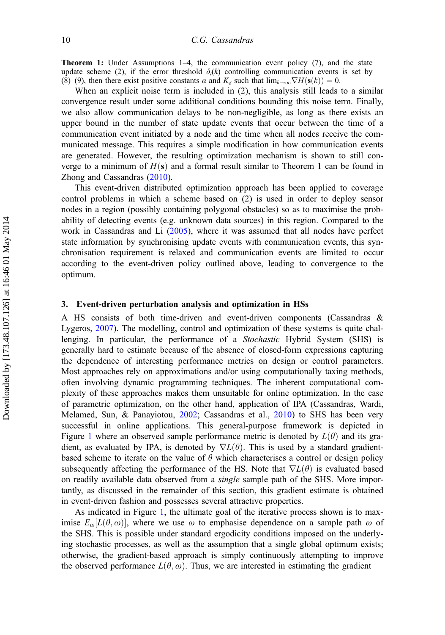Theorem 1: Under Assumptions 1–4, the communication event policy (7), and the state update scheme (2), if the error threshold  $\delta_i(k)$  controlling communication events is set by (8)–(9), then there exist positive constants  $\alpha$  and  $K_{\delta}$  such that  $\lim_{k\to\infty} \nabla H(\mathbf{s}(k)) = 0$ .

When an explicit noise term is included in (2), this analysis still leads to a similar convergence result under some additional conditions bounding this noise term. Finally, we also allow communication delays to be non-negligible, as long as there exists an upper bound in the number of state update events that occur between the time of a communication event initiated by a node and the time when all nodes receive the communicated message. This requires a simple modification in how communication events are generated. However, the resulting optimization mechanism is shown to still converge to a minimum of  $H(s)$  and a formal result similar to Theorem 1 can be found in Zhong and Cassandras [\(2010](#page-14-0)).

This event-driven distributed optimization approach has been applied to coverage control problems in which a scheme based on (2) is used in order to deploy sensor nodes in a region (possibly containing polygonal obstacles) so as to maximise the probability of detecting events (e.g. unknown data sources) in this region. Compared to the work in Cassandras and Li [\(2005](#page-13-0)), where it was assumed that all nodes have perfect state information by synchronising update events with communication events, this synchronisation requirement is relaxed and communication events are limited to occur according to the event-driven policy outlined above, leading to convergence to the optimum.

# 3. Event-driven perturbation analysis and optimization in HSs

A HS consists of both time-driven and event-driven components (Cassandras & Lygeros, [2007\)](#page-13-0). The modelling, control and optimization of these systems is quite challenging. In particular, the performance of a Stochastic Hybrid System (SHS) is generally hard to estimate because of the absence of closed-form expressions capturing the dependence of interesting performance metrics on design or control parameters. Most approaches rely on approximations and/or using computationally taxing methods, often involving dynamic programming techniques. The inherent computational complexity of these approaches makes them unsuitable for online optimization. In the case of parametric optimization, on the other hand, application of IPA (Cassandras, Wardi, Melamed, Sun, & Panayiotou, [2002;](#page-13-0) Cassandras et al., [2010\)](#page-13-0) to SHS has been very successful in online applications. This general-purpose framework is depicted in Figure [1](#page-8-0) where an observed sample performance metric is denoted by  $L(\theta)$  and its gradient, as evaluated by IPA, is denoted by  $\nabla L(\theta)$ . This is used by a standard gradientbased scheme to iterate on the value of  $\theta$  which characterises a control or design policy subsequently affecting the performance of the HS. Note that  $\nabla L(\theta)$  is evaluated based on readily available data observed from a *single* sample path of the SHS. More importantly, as discussed in the remainder of this section, this gradient estimate is obtained in event-driven fashion and possesses several attractive properties.

As indicated in Figure [1](#page-8-0), the ultimate goal of the iterative process shown is to maximise  $E_{\omega}[L(\theta, \omega)]$ , where we use  $\omega$  to emphasise dependence on a sample path  $\omega$  of the SHS. This is possible under standard ergodicity conditions imposed on the underlythe SHS. This is possible under standard ergodicity conditions imposed on the underlying stochastic processes, as well as the assumption that a single global optimum exists; otherwise, the gradient-based approach is simply continuously attempting to improve the observed performance  $L(\theta, \omega)$ . Thus, we are interested in estimating the gradient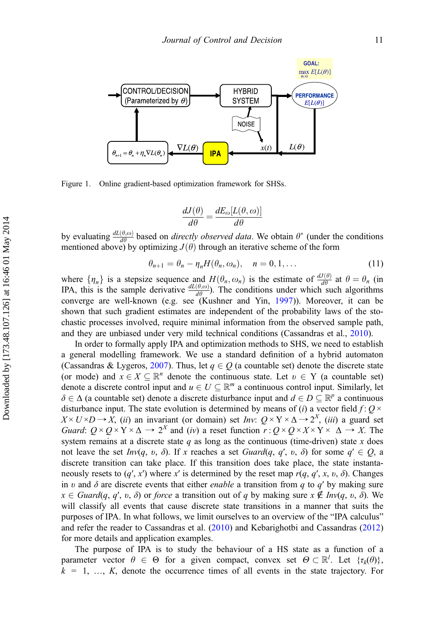<span id="page-8-0"></span>

Figure 1. Online gradient-based optimization framework for SHSs.

$$
\frac{dJ(\theta)}{d\theta} = \frac{dE_{\omega}[L(\theta, \omega)]}{d\theta}
$$

by evaluating  $\frac{dL(\theta,\omega)}{d\theta}$  based on *directly observed data*. We obtain  $\theta^*$  (under the conditions mentioned above) by optimizing  $J(\theta)$  through an iterative scheme of the form

$$
\theta_{n+1} = \theta_n - \eta_n H(\theta_n, \omega_n), \quad n = 0, 1, \dots
$$
 (11)

where  $\{\eta_n\}$  is a stepsize sequence and  $H(\theta_n, \omega_n)$  is the estimate of  $\frac{dJ(\theta)}{d\theta}$  at  $\theta = \theta_n$  (in IPA, this is the sample derivative  $\frac{dL(\theta,\omega)}{d\theta}$ ). The conditions under which such algorithms converge are well-known (e.g. see (Kushner and Yin, [1997\)](#page-13-0)). Moreover, it can be shown that such gradient estimates are independent of the probability laws of the stochastic processes involved, require minimal information from the observed sample path, and they are unbiased under very mild technical conditions (Cassandras et al., [2010](#page-13-0)).

In order to formally apply IPA and optimization methods to SHS, we need to establish a general modelling framework. We use a standard definition of a hybrid automaton (Cassandras & Lygeros, [2007\)](#page-13-0). Thus, let  $q \in Q$  (a countable set) denote the discrete state (or mode) and  $x \in X \subseteq \mathbb{R}^n$  denote the continuous state. Let  $v \in Y$  (a countable set) denote a discrete control input and  $u \in U \subseteq \mathbb{R}^m$  a continuous control input. Similarly, let  $\delta \in \Delta$  (a countable set) denote a discrete disturbance input and  $d \in D \subseteq \mathbb{R}^p$  a continuous disturbance input. The state evolution is determined by means of (i) a vector field  $f: Q \times$  $X \times U \times D \longrightarrow X$ , (ii) an invariant (or domain) set Inv:  $Q \times Y \times \Delta \longrightarrow 2^X$ , (iii) a guard set Guard:  $Q \times Q \times Y \times \Delta \rightarrow 2^X$  and (iv) a reset function  $r: Q \times Q \times X \times Y \times \Delta \rightarrow X$ . The system remains at a discrete state  $q$  as long as the continuous (time-driven) state  $x$  does not leave the set  $Inv(q, v, \delta)$ . If x reaches a set Guard(q, q', v,  $\delta$ ) for some  $q' \in Q$ , a discrete transition can take place. If this transition does take place, the state instantaneously resets to  $(q', x')$  where x' is determined by the reset map  $r(q, q', x, v, \delta)$ . Changes in v and  $\delta$  are discrete events that either *enable* a transition from q to q' by making sure  $x \in \text{Guard}(q, q', v, \delta)$  or force a transition out of q by making sure  $x \notin \text{Inv}(q, v, \delta)$ . We will classify all events that cause discrete state transitions in a manner that suits the purposes of IPA. In what follows, we limit ourselves to an overview of the "IPA calculus" and refer the reader to Cassandras et al. ([2010](#page-13-0)) and Kebarighotbi and Cassandras ([2012\)](#page-13-0) for more details and application examples.

The purpose of IPA is to study the behaviour of a HS state as a function of a parameter vector  $\theta \in \Theta$  for a given compact, convex set  $\Theta \subset \mathbb{R}^l$ . Let  $\{\tau_k(\theta)\}\$ ,  $k = 1$ , K denote the occurrence times of all events in the state trajectory. For  $k = 1, \ldots, K$ , denote the occurrence times of all events in the state trajectory. For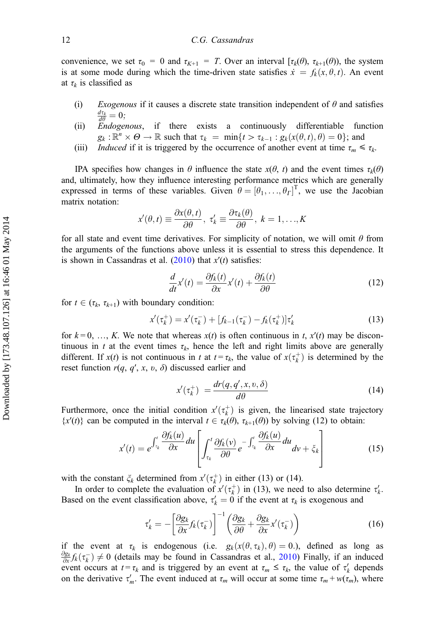convenience, we set  $\tau_0 = 0$  and  $\tau_{K+1} = T$ . Over an interval  $[\tau_k(\theta), \tau_{k+1}(\theta)]$ , the system is at some mode during which the time-driven state satisfies  $\dot{x} = f_k(x, \theta, t)$ . An event at  $\tau_k$  is classified as

- (i) Exogenous if it causes a discrete state transition independent of  $\theta$  and satisfies  $\frac{d\tau_k}{d\theta} = 0;$ <br>Endoge
- (ii) Endogenous, if there exists a continuously differentiable function  $g_k : \mathbb{R}^n \times \Theta \to \mathbb{R}$  such that  $\tau_k = \min\{ t > \tau_{k-1} : g_k(x(\theta, t), \theta) = 0 \}$ ; and
- (iii) Induced if it is triggered by the occurrence of another event at time  $\tau_m \leq \tau_k$ .

IPA specifies how changes in  $\theta$  influence the state  $x(\theta, t)$  and the event times  $\tau_k(\theta)$ and, ultimately, how they influence interesting performance metrics which are generally expressed in terms of these variables. Given  $\theta = [\theta_1, ..., \theta_r]^T$ , we use the Jacobian matrix notation: matrix notation:

$$
x'(\theta, t) \equiv \frac{\partial x(\theta, t)}{\partial \theta}, \ \tau'_{k} \equiv \frac{\partial \tau_{k}(\theta)}{\partial \theta}, \ k = 1, \ldots, K
$$

for all state and event time derivatives. For simplicity of notation, we will omit  $\theta$  from the arguments of the functions above unless it is essential to stress this dependence. It is shown in Cassandras et al.  $(2010)$  $(2010)$  that  $x'(t)$  satisfies:

$$
\frac{d}{dt}x'(t) = \frac{\partial f_k(t)}{\partial x}x'(t) + \frac{\partial f_k(t)}{\partial \theta}
$$
\n(12)

for  $t \in (\tau_k, \tau_{k+1})$  with boundary condition:

$$
x'(\tau_k^+) = x'(\tau_k^-) + [f_{k-1}(\tau_k^-) - f_k(\tau_k^+)]\tau_k'
$$
\n(13)

for  $k = 0, \ldots, K$ . We note that whereas  $x(t)$  is often continuous in t,  $x'(t)$  may be discontinuous in t at the event times  $\tau_k$ , hence the left and right limits above are generally different. If  $x(t)$  is not continuous in t at  $t = \tau_k$ , the value of  $x(\tau_k^+)$  is determined by the reset function  $r(a, a' \geq n, \delta)$  discussed earlier and reset function  $r(q, q', x, v, \delta)$  discussed earlier and

$$
x'(\tau_k^+) = \frac{dr(q, q', x, v, \delta)}{d\theta} \tag{14}
$$

Furthermore, once the initial condition  $x'(\tau_k^+)$  is given, the linearised state trajectory  $f(x(t))$  can be computed in the interval  $t \in \tau(\theta)$ ,  $\tau_k(\theta)$  by solving (12) to obtain:  ${x'(t)}$  can be computed in the interval  $t \in \tau_k(\theta)$ ,  $\tau_{k+1}(\theta)$  by solving (12) to obtain:

$$
x'(t) = e^{\int_{\tau_k}^t} \frac{\partial f_k(u)}{\partial x} du \left[ \int_{\tau_k}^t \frac{\partial f_k(v)}{\partial \theta} e^{-\int_{\tau_k}^t} \frac{\partial f_k(u)}{\partial x} du \right] dv + \xi_k \right]
$$
(15)

with the constant  $\xi_k$  determined from  $x'(\tau_k^+)$  in either (13) or (14).<br>In order to complete the evaluation of  $x'(\tau^+)$  in (13), we need

In order to complete the evaluation of  $x'(\tau_k^+)$  in (13), we need to also determine  $\tau'_k$ .<br>ed on the event classification above  $\tau' = 0$  if the event at  $\tau$ , is exogenous and Based on the event classification above,  $\tau_k = 0$  if the event at  $\tau_k$  is exogenous and

$$
\tau'_{k} = -\left[\frac{\partial g_{k}}{\partial x} f_{k}(\tau_{k}^{-})\right]^{-1} \left(\frac{\partial g_{k}}{\partial \theta} + \frac{\partial g_{k}}{\partial x} x'(\tau_{k}^{-})\right)
$$
(16)

if the event at  $\tau_k$  is endogenous (i.e.  $g_k(x(\theta, \tau_k), \theta) = 0$ .), defined as long as  $\frac{\partial g_k}{\partial x} f_k(\tau_k^-) \neq 0$  (details may be found in Cassandras et al., [2010](#page-13-0)) Finally, if an induced experiment of  $\tau_k$  and is triggered by an event at  $\tau_k \leq \tau_k$ , the value of  $\tau'_k$  depends event occurs at  $t = \tau_k$  and is triggered by an event at  $\tau_m \leq \tau_k$ , the value of  $\tau'_k$  depends on the derivative  $\tau'_m$ . The event induced at  $\tau_m$  will occur at some time  $\tau_m + w(\tau_m)$ , where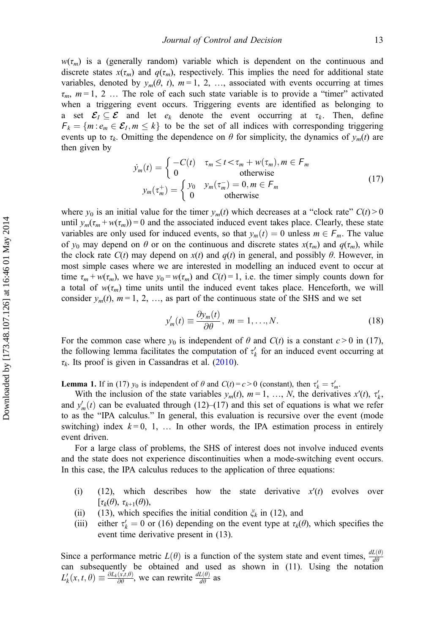$w(\tau_m)$  is a (generally random) variable which is dependent on the continuous and discrete states  $x(\tau_m)$  and  $q(\tau_m)$ , respectively. This implies the need for additional state variables, denoted by  $y_m(\theta, t)$ ,  $m = 1, 2, \ldots$ , associated with events occurring at times  $\tau_m$ ,  $m = 1, 2, \ldots$  The role of each such state variable is to provide a "timer" activated when a triggering event occurs. Triggering events are identified as belonging to a set  $\mathcal{E}_I \subseteq \mathcal{E}$  and let  $e_k$  denote the event occurring at  $\tau_k$ . Then, define  $F_k = \{m : e_m \in \mathcal{E}_l, m \leq k\}$  to be the set of all indices with corresponding triggering events up to  $\tau$ . Omitting the dependence on  $\theta$  for simplicity the dynamics of y (t) are events up to  $\tau_k$ . Omitting the dependence on  $\theta$  for simplicity, the dynamics of  $y_m(t)$  are then given by

$$
\dot{y}_m(t) = \begin{cases}\n-C(t) & \tau_m \le t < \tau_m + w(\tau_m), m \in F_m \\
0 & \text{otherwise}\n\end{cases}
$$
\n
$$
y_m(\tau_m^+) = \begin{cases}\ny_0 & y_m(\tau_m^-) = 0, m \in F_m \\
0 & \text{otherwise}\n\end{cases}
$$
\n(17)

where  $y_0$  is an initial value for the timer  $y_m(t)$  which decreases at a "clock rate"  $C(t) > 0$ until  $y_m(\tau_m + w(\tau_m)) = 0$  and the associated induced event takes place. Clearly, these state variables are only used for induced events, so that  $y_m(t) = 0$  unless  $m \in F_m$ . The value of  $y_0$  may depend on  $\theta$  or on the continuous and discrete states  $x(\tau_m)$  and  $q(\tau_m)$ , while the clock rate  $C(t)$  may depend on  $x(t)$  and  $q(t)$  in general, and possibly  $\theta$ . However, in most simple cases where we are interested in modelling an induced event to occur at time  $\tau_m$  + w( $\tau_m$ ), we have  $y_0 = w(\tau_m)$  and  $C(t) = 1$ , i.e. the timer simply counts down for a total of  $w(\tau_m)$  time units until the induced event takes place. Henceforth, we will consider  $y_m(t)$ ,  $m = 1, 2, \dots$ , as part of the continuous state of the SHS and we set

$$
y'_m(t) \equiv \frac{\partial y_m(t)}{\partial \theta}, \ m = 1, \dots, N. \tag{18}
$$

For the common case where  $y_0$  is independent of  $\theta$  and  $C(t)$  is a constant  $c > 0$  in (17), the following lemma facilitates the computation of  $\tau'_{k}$  for an induced event occurring at  $\tau_k$ . Its proof is given in Cassandras et al. [\(2010](#page-13-0)).

**Lemma 1.** If in (17)  $y_0$  is independent of  $\theta$  and  $C(t) = c > 0$  (constant), then  $\tau'_k = \tau'_m$ .<br>With the inclusion of the state variables  $y_0(t) - m = 1$ . Note derivative

With the inclusion of the state variables  $y_m(t)$ ,  $m = 1, ..., N$ , the derivatives  $x'(t)$ ,  $\tau'_k$ , and  $y'_m(t)$  can be evaluated through (12)–(17) and this set of equations is what we refer<br>to as the "IPA calculus". In general, this evaluation is recursive over the event (mode to as the "IPA calculus." In general, this evaluation is recursive over the event (mode switching) index  $k = 0, 1, \ldots$  In other words, the IPA estimation process in entirely event driven.

For a large class of problems, the SHS of interest does not involve induced events and the state does not experience discontinuities when a mode-switching event occurs. In this case, the IPA calculus reduces to the application of three equations:

- (i) (12), which describes how the state derivative  $x'(t)$  evolves over  $[\tau_k(\theta), \tau_{k+1}(\theta)],$
- (ii) (13), which specifies the initial condition  $\xi_k$  in (12), and
- (iii) either  $\tau'_k = 0$  or (16) depending on the event type at  $\tau_k(\theta)$ , which specifies the event time derivative present in (13) event time derivative present in (13).

Since a performance metric  $L(\theta)$  is a function of the system state and event times,  $\frac{dL(\theta)}{d\theta}$ can subsequently be obtained and used as shown in (11). Using the notation  $L'_k(x, t, \theta) \equiv \frac{\partial L_k(x, t, \theta)}{\partial \theta}$ , we can rewrite  $\frac{dL(\theta)}{d\theta}$  as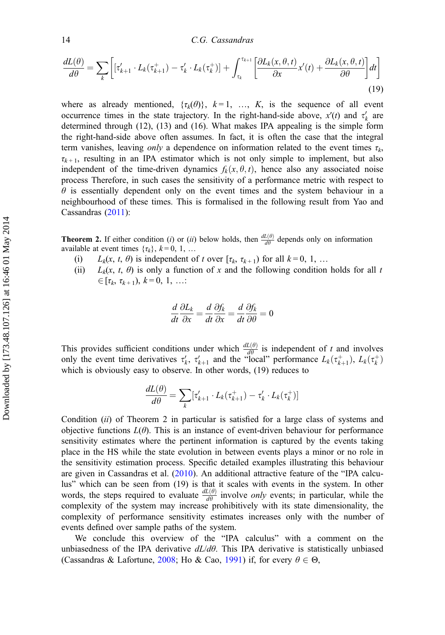$$
\frac{dL(\theta)}{d\theta} = \sum_{k} \left[ [\tau'_{k+1} \cdot L_k(\tau^+_{k+1}) - \tau'_{k} \cdot L_k(\tau^+_{k})] + \int_{\tau_k}^{\tau_{k+1}} \left[ \frac{\partial L_k(x, \theta, t)}{\partial x} x'(t) + \frac{\partial L_k(x, \theta, t)}{\partial \theta} \right] dt \right]
$$
\n(19)

where as already mentioned,  $\{\tau_k(\theta)\}, k = 1, ..., K$ , is the sequence of all event occurrence times in the state trajectory. In the right-hand-side above,  $x'(t)$  and  $\tau'_k$  are determined through (12), (13) and (16). What makes IPA appealing is the simple form the right-hand-side above often assumes. In fact, it is often the case that the integral term vanishes, leaving only a dependence on information related to the event times  $\tau_k$ ,  $\tau_{k+1}$ , resulting in an IPA estimator which is not only simple to implement, but also independent of the time-driven dynamics  $f_k(x, \theta, t)$ , hence also any associated noise process Therefore, in such cases the sensitivity of a performance metric with respect to  $\theta$  is essentially dependent only on the event times and the system behaviour in a neighbourhood of these times. This is formalised in the following result from Yao and Cassandras [\(2011\)](#page-14-0):

**Theorem 2.** If either condition (i) or (ii) below holds, then  $\frac{dL(\theta)}{d\theta}$  depends only on information available at event times  $\{\tau_k\}, k = 0, 1, ...$ 

- (i)  $L_k(x, t, \theta)$  is independent of t over  $[\tau_k, \tau_{k+1}]$  for all  $k = 0, 1, ...$
- (ii)  $L_k(x, t, \theta)$  is only a function of x and the following condition holds for all t  $\in$  [ $\tau_k$ ,  $\tau_{k+1}$ ),  $k = 0, 1, ...$

$$
\frac{d}{dt}\frac{\partial L_k}{\partial x} = \frac{d}{dt}\frac{\partial f_k}{\partial x} = \frac{d}{dt}\frac{\partial f_k}{\partial \theta} = 0
$$

This provides sufficient conditions under which  $\frac{dL(\theta)}{d\theta}$  is independent of t and involves only the event time derivatives  $\tau'_k$ ,  $\tau'_{k+1}$  and the "local" performance  $L_k(\tau_{k+1}^+)$ ,  $L_k(\tau_k^+)$ <br>which is obviously easy to observe. In other words (19) reduces to which is obviously easy to observe. In other words, (19) reduces to

$$
\frac{dL(\theta)}{d\theta} = \sum_{k} [\tau'_{k+1} \cdot L_k(\tau^+_{k+1}) - \tau'_{k} \cdot L_k(\tau^+_{k})]
$$

Condition *(ii)* of Theorem 2 in particular is satisfied for a large class of systems and objective functions  $L(\theta)$ . This is an instance of event-driven behaviour for performance sensitivity estimates where the pertinent information is captured by the events taking place in the HS while the state evolution in between events plays a minor or no role in the sensitivity estimation process. Specific detailed examples illustrating this behaviour are given in Cassandras et al. ([2010\)](#page-13-0). An additional attractive feature of the "IPA calculus" which can be seen from (19) is that it scales with events in the system. In other words, the steps required to evaluate  $\frac{dL(\theta)}{d\theta}$  involve *only* events; in particular, while the complexity of the system may increase prohibitively with its state dimensionality, the complexity of performance sensitivity estimates increases only with the number of events defined over sample paths of the system.

We conclude this overview of the "IPA calculus" with a comment on the unbiasedness of the IPA derivative  $dL/d\theta$ . This IPA derivative is statistically unbiased (Cassandras & Lafortune, [2008;](#page-13-0) Ho & Cao, [1991](#page-13-0)) if, for every  $\theta \in \Theta$ ,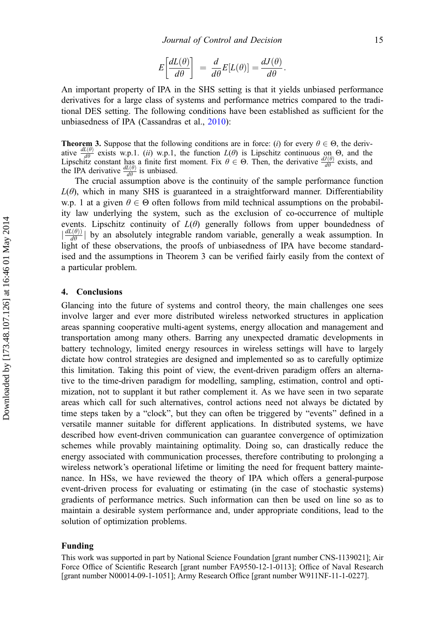$$
E\left[\frac{dL(\theta)}{d\theta}\right] = \frac{d}{d\theta}E[L(\theta)] = \frac{dJ(\theta)}{d\theta}.
$$

An important property of IPA in the SHS setting is that it yields unbiased performance derivatives for a large class of systems and performance metrics compared to the traditional DES setting. The following conditions have been established as sufficient for the unbiasedness of IPA (Cassandras et al., [2010](#page-13-0)):

**Theorem 3.** Suppose that the following conditions are in force: (i) for every  $\theta \in \Theta$ , the derivative  $\frac{dL(\theta)}{d\theta}$  exists w.p.1. (ii) w.p.1, the function  $L(\theta)$  is Lipschitz continuous on  $\Theta$ , and the Lipschitz constant has a finite first moment. Fix  $\theta \in \Theta$ . Then, the derivative  $\frac{dJ(\theta)}{d\theta}$  exists, and the IPA derivative  $\frac{dJ(\theta)}{d\theta}$  is unbiased.

The crucial assumption above is the continuity of the sample performance function  $L(\theta)$ , which in many SHS is guaranteed in a straightforward manner. Differentiability w.p. 1 at a given  $\theta \in \Theta$  often follows from mild technical assumptions on the probability law underlying the system, such as the exclusion of co-occurrence of multiple events. Lipschitz continuity of  $L(\theta)$  generally follows from upper boundedness of light of these observations, the proofs of unbiasedness of IPA have become standard- $\frac{dL(\theta)}{d\theta}$  by an absolutely integrable random variable, generally a weak assumption. In  $\frac{dL(\theta)}{d\theta}$  is the proofs of unbiasedness of IPA have become standard. ised and the assumptions in Theorem 3 can be verified fairly easily from the context of a particular problem.

## 4. Conclusions

Glancing into the future of systems and control theory, the main challenges one sees involve larger and ever more distributed wireless networked structures in application areas spanning cooperative multi-agent systems, energy allocation and management and transportation among many others. Barring any unexpected dramatic developments in battery technology, limited energy resources in wireless settings will have to largely dictate how control strategies are designed and implemented so as to carefully optimize this limitation. Taking this point of view, the event-driven paradigm offers an alternative to the time-driven paradigm for modelling, sampling, estimation, control and optimization, not to supplant it but rather complement it. As we have seen in two separate areas which call for such alternatives, control actions need not always be dictated by time steps taken by a "clock", but they can often be triggered by "events" defined in a versatile manner suitable for different applications. In distributed systems, we have described how event-driven communication can guarantee convergence of optimization schemes while provably maintaining optimality. Doing so, can drastically reduce the energy associated with communication processes, therefore contributing to prolonging a wireless network's operational lifetime or limiting the need for frequent battery maintenance. In HSs, we have reviewed the theory of IPA which offers a general-purpose event-driven process for evaluating or estimating (in the case of stochastic systems) gradients of performance metrics. Such information can then be used on line so as to maintain a desirable system performance and, under appropriate conditions, lead to the solution of optimization problems.

## Funding

This work was supported in part by National Science Foundation [grant number CNS-1139021]; Air Force Office of Scientific Research [grant number FA9550-12-1-0113]; Office of Naval Research [grant number N00014-09-1-1051]; Army Research Office [grant number W911NF-11-1-0227].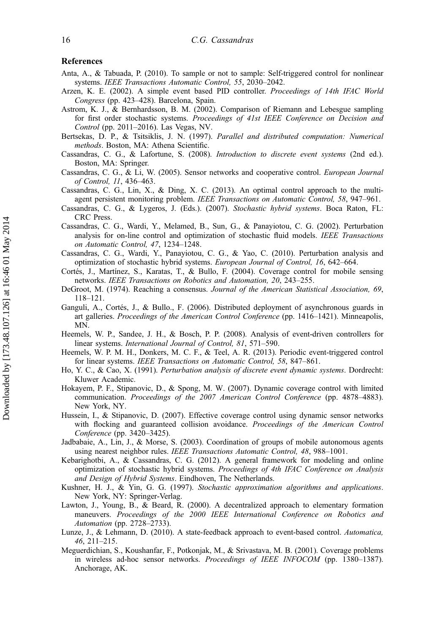#### <span id="page-13-0"></span>References

- Anta, A., & Tabuada, P. (2010). To sample or not to sample: Self-triggered control for nonlinear systems. IEEE Transactions Automatic Control, 55, 2030–2042.
- Arzen, K. E. (2002). A simple event based PID controller. Proceedings of 14th IFAC World Congress (pp. 423–428). Barcelona, Spain.
- Astrom, K. J., & Bernhardsson, B. M. (2002). Comparison of Riemann and Lebesgue sampling for first order stochastic systems. Proceedings of 41st IEEE Conference on Decision and Control (pp. 2011–2016). Las Vegas, NV.
- Bertsekas, D. P., & Tsitsiklis, J. N. (1997). Parallel and distributed computation: Numerical methods. Boston, MA: Athena Scientific.
- Cassandras, C. G., & Lafortune, S. (2008). Introduction to discrete event systems (2nd ed.). Boston, MA: Springer.
- Cassandras, C. G., & Li, W. (2005). Sensor networks and cooperative control. European Journal of Control, 11, 436–463.
- Cassandras, C. G., Lin, X., & Ding, X. C. (2013). An optimal control approach to the multiagent persistent monitoring problem. IEEE Transactions on Automatic Control, 58, 947–961.
- Cassandras, C. G., & Lygeros, J. (Eds.). (2007). Stochastic hybrid systems. Boca Raton, FL: CRC Press.
- Cassandras, C. G., Wardi, Y., Melamed, B., Sun, G., & Panayiotou, C. G. (2002). Perturbation analysis for on-line control and optimization of stochastic fluid models. IEEE Transactions on Automatic Control, 47, 1234–1248.
- Cassandras, C. G., Wardi, Y., Panayiotou, C. G., & Yao, C. (2010). Perturbation analysis and optimization of stochastic hybrid systems. European Journal of Control, 16, 642–664.
- Cortés, J., Martínez, S., Karatas, T., & Bullo, F. (2004). Coverage control for mobile sensing networks. IEEE Transactions on Robotics and Automation, 20, 243–255.
- DeGroot, M. (1974). Reaching a consensus. Journal of the American Statistical Association, 69, 118–121.
- Ganguli, A., Cortés, J., & Bullo., F. (2006). Distributed deployment of asynchronous guards in art galleries. Proceedings of the American Control Conference (pp. 1416–1421). Minneapolis, MN.
- Heemels, W. P., Sandee, J. H., & Bosch, P. P. (2008). Analysis of event-driven controllers for linear systems. International Journal of Control, 81, 571–590.
- Heemels, W. P. M. H., Donkers, M. C. F., & Teel, A. R. (2013). Periodic event-triggered control for linear systems. IEEE Transactions on Automatic Control, 58, 847–861.
- Ho, Y. C., & Cao, X. (1991). Perturbation analysis of discrete event dynamic systems. Dordrecht: Kluwer Academic.
- Hokayem, P. F., Stipanovic, D., & Spong, M. W. (2007). Dynamic coverage control with limited communication. Proceedings of the 2007 American Control Conference (pp. 4878–4883). New York, NY.
- Hussein, I., & Stipanovic, D. (2007). Effective coverage control using dynamic sensor networks with flocking and guaranteed collision avoidance. Proceedings of the American Control Conference (pp. 3420–3425).
- Jadbabaie, A., Lin, J., & Morse, S. (2003). Coordination of groups of mobile autonomous agents using nearest neighbor rules. IEEE Transactions Automatic Control, 48, 988-1001.
- Kebarighotbi, A., & Cassandras, C. G. (2012). A general framework for modeling and online optimization of stochastic hybrid systems. Proceedings of 4th IFAC Conference on Analysis and Design of Hybrid Systems. Eindhoven, The Netherlands.
- Kushner, H. J., & Yin, G. G. (1997). Stochastic approximation algorithms and applications. New York, NY: Springer-Verlag.
- Lawton, J., Young, B., & Beard, R. (2000). A decentralized approach to elementary formation maneuvers. Proceedings of the 2000 IEEE International Conference on Robotics and Automation (pp. 2728–2733).
- Lunze, J., & Lehmann, D. (2010). A state-feedback approach to event-based control. Automatica, 46, 211–215.
- Meguerdichian, S., Koushanfar, F., Potkonjak, M., & Srivastava, M. B. (2001). Coverage problems in wireless ad-hoc sensor networks. Proceedings of IEEE INFOCOM (pp. 1380–1387). Anchorage, AK.